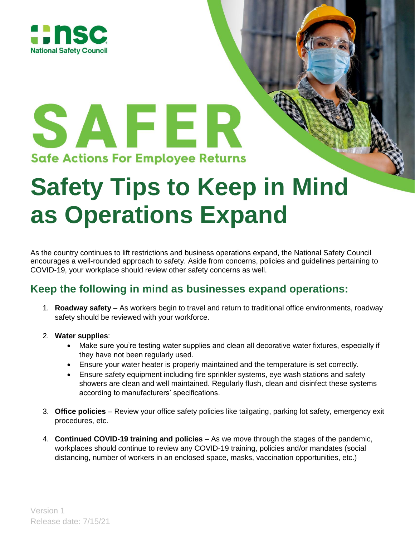

# SAFER **Safe Actions For Employee Returns**

# **Safety Tips to Keep in Mind as Operations Expand**

As the country continues to lift restrictions and business operations expand, the National Safety Council encourages a well-rounded approach to safety. Aside from concerns, policies and guidelines pertaining to COVID-19, your workplace should review other safety concerns as well.

## **Keep the following in mind as businesses expand operations:**

- 1. **Roadway safety** As workers begin to travel and return to traditional office environments, roadway safety should be reviewed with your workforce.
- 2. **Water supplies**:
	- Make sure you're testing water supplies and clean all decorative water fixtures, especially if they have not been regularly used.
	- Ensure your water heater is properly maintained and the temperature is set correctly.
	- Ensure safety equipment including fire sprinkler systems, eye wash stations and safety showers are clean and well maintained. Regularly flush, clean and disinfect these systems according to manufacturers' specifications.
- 3. **Office policies** Review your office safety policies like tailgating, parking lot safety, emergency exit procedures, etc.
- 4. **Continued COVID-19 training and policies** As we move through the stages of the pandemic, workplaces should continue to review any COVID-19 training, policies and/or mandates (social distancing, number of workers in an enclosed space, masks, vaccination opportunities, etc.)